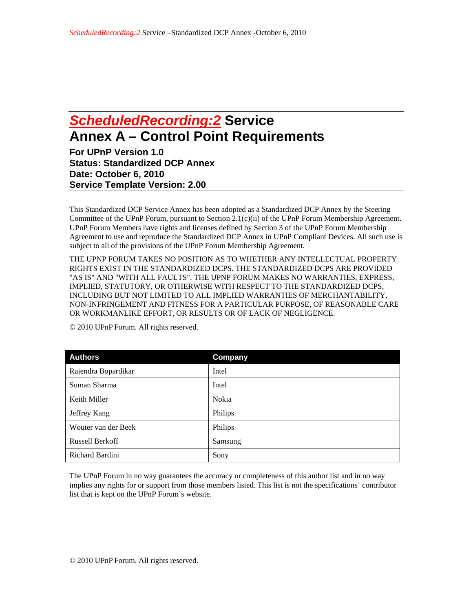## *ScheduledRecording:2* **Service Annex A – Control Point Requirements**

**For UPnP Version 1.0 Status: Standardized DCP Annex Date: October 6, 2010 Service Template Version: 2.00** 

This Standardized DCP Service Annex has been adopted as a Standardized DCP Annex by the Steering Committee of the UPnP Forum, pursuant to Section 2.1(c)(ii) of the UPnP Forum Membership Agreement. UPnP Forum Members have rights and licenses defined by Section 3 of the UPnP Forum Membership Agreement to use and reproduce the Standardized DCP Annex in UPnP Compliant Devices. All such use is subject to all of the provisions of the UPnP Forum Membership Agreement.

THE UPNP FORUM TAKES NO POSITION AS TO WHETHER ANY INTELLECTUAL PROPERTY RIGHTS EXIST IN THE STANDARDIZED DCPS. THE STANDARDIZED DCPS ARE PROVIDED "AS IS" AND "WITH ALL FAULTS". THE UPNP FORUM MAKES NO WARRANTIES, EXPRESS, IMPLIED, STATUTORY, OR OTHERWISE WITH RESPECT TO THE STANDARDIZED DCPS, INCLUDING BUT NOT LIMITED TO ALL IMPLIED WARRANTIES OF MERCHANTABILITY, NON-INFRINGEMENT AND FITNESS FOR A PARTICULAR PURPOSE, OF REASONABLE CARE OR WORKMANLIKE EFFORT, OR RESULTS OR OF LACK OF NEGLIGENCE.

| <b>Authors</b>         | Company |
|------------------------|---------|
| Rajendra Bopardikar    | Intel   |
| Suman Sharma           | Intel   |
| Keith Miller           | Nokia   |
| Jeffrey Kang           | Philips |
| Wouter van der Beek    | Philips |
| <b>Russell Berkoff</b> | Samsung |
| Richard Bardini        | Sony    |

© 2010 UPnP Forum. All rights reserved.

The UPnP Forum in no way guarantees the accuracy or completeness of this author list and in no way implies any rights for or support from those members listed. This list is not the specifications' contributor list that is kept on the UPnP Forum's website.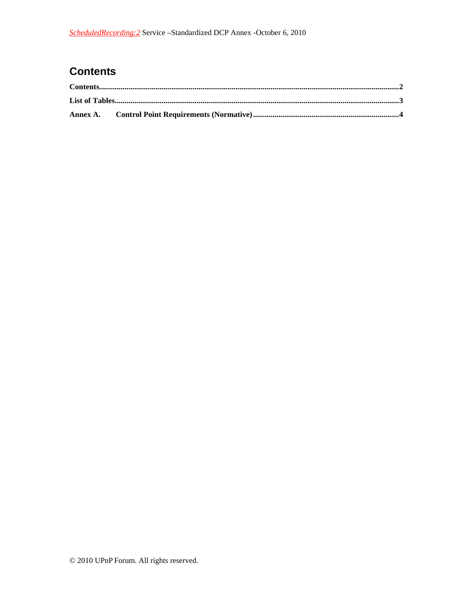## **Contents**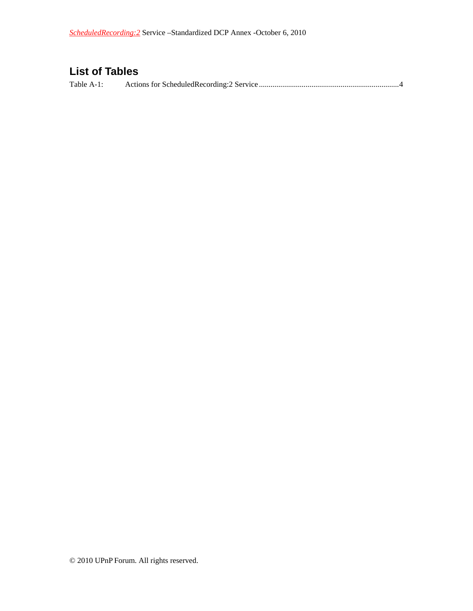## **List of Tables**

Table A-1: Actions for ScheduledRecording:2 Service ........................................................................ 4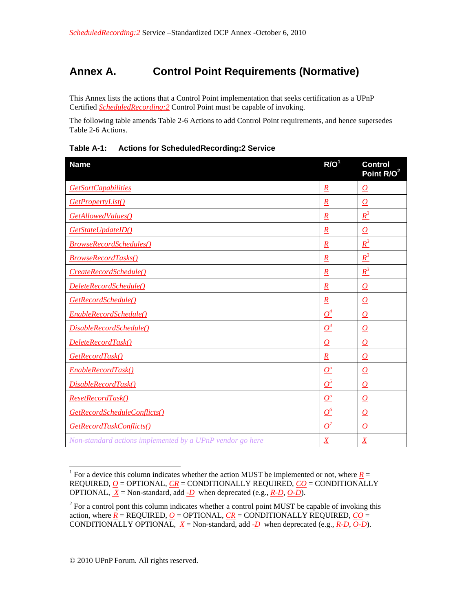## **Annex A. Control Point Requirements (Normative)**

This Annex lists the actions that a Control Point implementation that seeks certification as a UPnP Certified *ScheduledRecording:2* Control Point must be capable of invoking.

The following table amends Table 2-6 Actions to add Control Point requirements, and hence supersedes Table 2-6 Actions.

| <b>Name</b>                                               | R/O <sup>1</sup> | <b>Control</b><br>Point R/O <sup>2</sup> |
|-----------------------------------------------------------|------------------|------------------------------------------|
| <b>GetSortCapabilities</b>                                | $\boldsymbol{R}$ | 0                                        |
| GetPropertyList()                                         | $\boldsymbol{R}$ | $\overline{\Omega}$                      |
| GetAllowedValues()                                        | $\overline{R}$   | $R^3$                                    |
| GetStateUpdateID()                                        | $\boldsymbol{R}$ | $\bm{O}$                                 |
| <b>BrowseRecordSchedules()</b>                            | $\overline{R}$   | $R^3$                                    |
| <b>BrowseRecordTasks()</b>                                | $\overline{R}$   | $R^3$                                    |
| CreateRecordSchedule()                                    | $\overline{R}$   | $R^3$                                    |
| DeleteRecordSchedule()                                    | $\underline{R}$  | $\overline{\Omega}$                      |
| GetRecordSchedule()                                       | $\overline{R}$   | $\overline{\bm{o}}$                      |
| EnableRecordSchedule()                                    | $\mathcal{Q}^4$  | $\overline{\Omega}$                      |
| DisableRecordSchedule()                                   | $\mathcal{Q}^4$  | $\boldsymbol{o}$                         |
| DeleteRecordTask()                                        | $\bm{O}$         | $\overline{\Omega}$                      |
| GetRecordTask()                                           | $\overline{R}$   | $\overline{\bm{o}}$                      |
| EnableRecordTask()                                        | $\mathcal{Q}^5$  | O                                        |
| DisableRecordTask()                                       | $\mathcal{Q}^5$  | $\overline{\bm{o}}$                      |
| ResetRecordTask()                                         | $\mathcal{Q}^5$  | $\overline{\Omega}$                      |
| GetRecordScheduleConflicts()                              | $\mathcal{Q}^6$  | $\overline{\bm{o}}$                      |
| GetRecordTaskConflicts()                                  | $O^7$            | $\bm{O}$                                 |
| Non-standard actions implemented by a UPnP vendor go here | $\overline{X}$   | $\overline{X}$                           |

**Table A-1: Actions for ScheduledRecording:2 Service** 

 $\overline{a}$ 

<sup>&</sup>lt;sup>1</sup> For a device this column indicates whether the action MUST be implemented or not, where  $R =$ REQUIRED, *O* = OPTIONAL, *CR* = CONDITIONALLY REQUIRED, *CO* = CONDITIONALLY OPTIONAL,  $\underline{X}$  = Non-standard, add  $\underline{-D}$  when deprecated (e.g.,  $\underline{R-D}$ ,  $\underline{O-D}$ ).

 $2^{2}$  For a control pont this column indicates whether a control point MUST be capable of invoking this action, where  $R = REQUIRED$ ,  $Q = OPTIONAL$ ,  $CR = CONDITIONALLY REQUIRED$ ,  $CO =$ CONDITIONALLY OPTIONAL,  $\underline{X}$  = Non-standard, add  $\underline{D}$  when deprecated (e.g.,  $\underline{R-D}$ ,  $\underline{O-D}$ ).